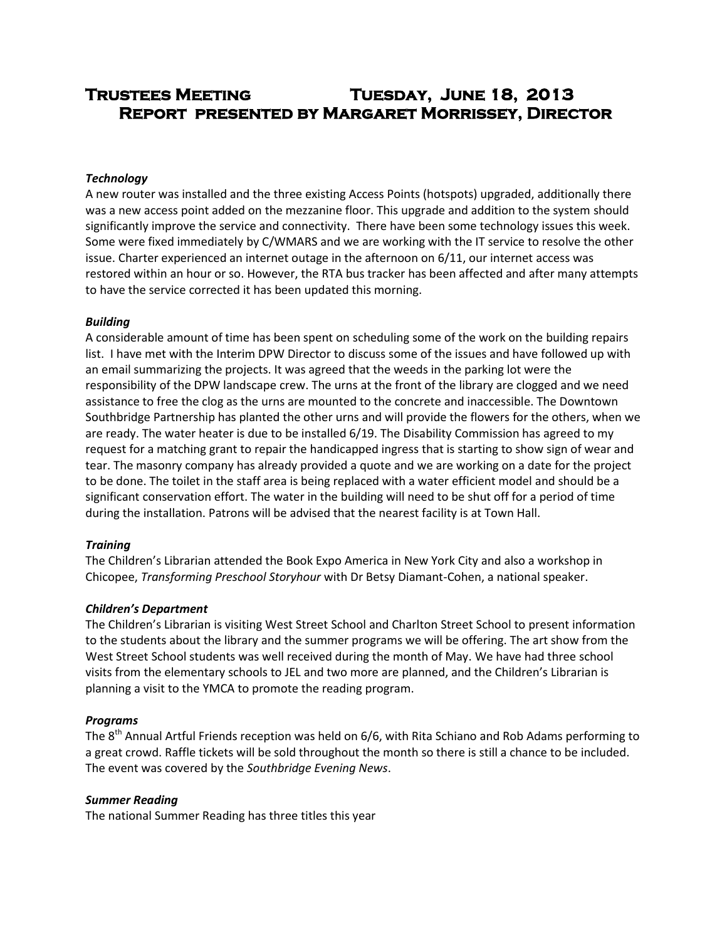# **Trustees Meeting Tuesday, June 18, 2013 Report presented by Margaret Morrissey, Director**

# *Technology*

A new router was installed and the three existing Access Points (hotspots) upgraded, additionally there was a new access point added on the mezzanine floor. This upgrade and addition to the system should significantly improve the service and connectivity. There have been some technology issues this week. Some were fixed immediately by C/WMARS and we are working with the IT service to resolve the other issue. Charter experienced an internet outage in the afternoon on 6/11, our internet access was restored within an hour or so. However, the RTA bus tracker has been affected and after many attempts to have the service corrected it has been updated this morning.

### *Building*

A considerable amount of time has been spent on scheduling some of the work on the building repairs list. I have met with the Interim DPW Director to discuss some of the issues and have followed up with an email summarizing the projects. It was agreed that the weeds in the parking lot were the responsibility of the DPW landscape crew. The urns at the front of the library are clogged and we need assistance to free the clog as the urns are mounted to the concrete and inaccessible. The Downtown Southbridge Partnership has planted the other urns and will provide the flowers for the others, when we are ready. The water heater is due to be installed 6/19. The Disability Commission has agreed to my request for a matching grant to repair the handicapped ingress that is starting to show sign of wear and tear. The masonry company has already provided a quote and we are working on a date for the project to be done. The toilet in the staff area is being replaced with a water efficient model and should be a significant conservation effort. The water in the building will need to be shut off for a period of time during the installation. Patrons will be advised that the nearest facility is at Town Hall.

### *Training*

The Children's Librarian attended the Book Expo America in New York City and also a workshop in Chicopee, *Transforming Preschool Storyhour* with Dr Betsy Diamant-Cohen, a national speaker.

### *Children's Department*

The Children's Librarian is visiting West Street School and Charlton Street School to present information to the students about the library and the summer programs we will be offering. The art show from the West Street School students was well received during the month of May. We have had three school visits from the elementary schools to JEL and two more are planned, and the Children's Librarian is planning a visit to the YMCA to promote the reading program.

### *Programs*

The  $8<sup>th</sup>$  Annual Artful Friends reception was held on 6/6, with Rita Schiano and Rob Adams performing to a great crowd. Raffle tickets will be sold throughout the month so there is still a chance to be included. The event was covered by the *Southbridge Evening News*.

### *Summer Reading*

The national Summer Reading has three titles this year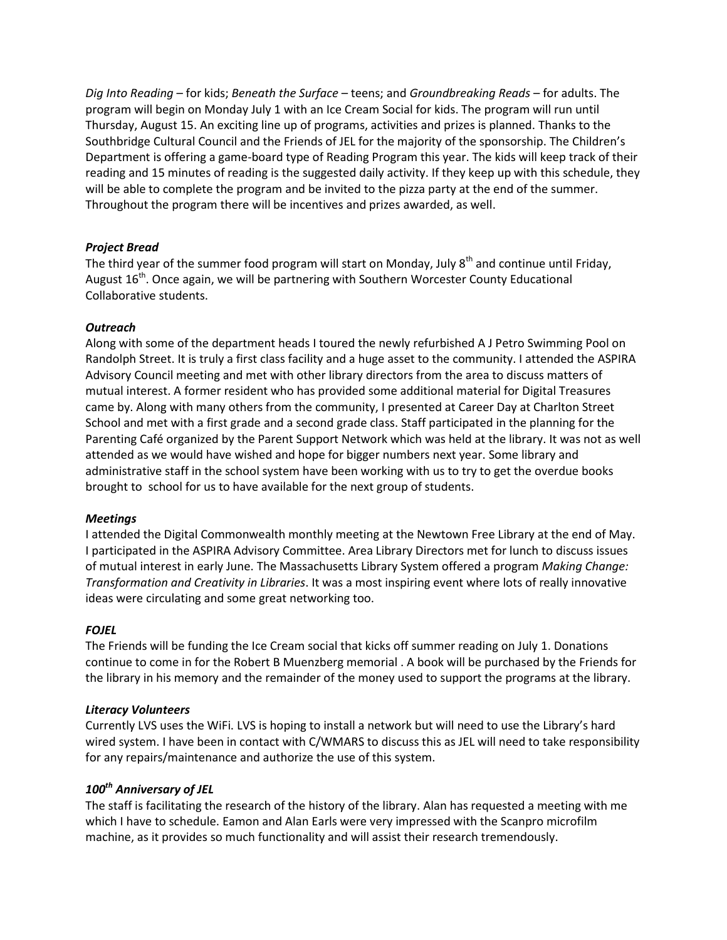*Dig Into Reading* – for kids; *Beneath the Surface* – teens; and *Groundbreaking Reads* – for adults. The program will begin on Monday July 1 with an Ice Cream Social for kids. The program will run until Thursday, August 15. An exciting line up of programs, activities and prizes is planned. Thanks to the Southbridge Cultural Council and the Friends of JEL for the majority of the sponsorship. The Children's Department is offering a game-board type of Reading Program this year. The kids will keep track of their reading and 15 minutes of reading is the suggested daily activity. If they keep up with this schedule, they will be able to complete the program and be invited to the pizza party at the end of the summer. Throughout the program there will be incentives and prizes awarded, as well.

# *Project Bread*

The third year of the summer food program will start on Monday, July  $8<sup>th</sup>$  and continue until Friday, August 16<sup>th</sup>. Once again, we will be partnering with Southern Worcester County Educational Collaborative students.

# *Outreach*

Along with some of the department heads I toured the newly refurbished A J Petro Swimming Pool on Randolph Street. It is truly a first class facility and a huge asset to the community. I attended the ASPIRA Advisory Council meeting and met with other library directors from the area to discuss matters of mutual interest. A former resident who has provided some additional material for Digital Treasures came by. Along with many others from the community, I presented at Career Day at Charlton Street School and met with a first grade and a second grade class. Staff participated in the planning for the Parenting Café organized by the Parent Support Network which was held at the library. It was not as well attended as we would have wished and hope for bigger numbers next year. Some library and administrative staff in the school system have been working with us to try to get the overdue books brought to school for us to have available for the next group of students.

# *Meetings*

I attended the Digital Commonwealth monthly meeting at the Newtown Free Library at the end of May. I participated in the ASPIRA Advisory Committee. Area Library Directors met for lunch to discuss issues of mutual interest in early June. The Massachusetts Library System offered a program *Making Change: Transformation and Creativity in Libraries*. It was a most inspiring event where lots of really innovative ideas were circulating and some great networking too.

# *FOJEL*

The Friends will be funding the Ice Cream social that kicks off summer reading on July 1. Donations continue to come in for the Robert B Muenzberg memorial . A book will be purchased by the Friends for the library in his memory and the remainder of the money used to support the programs at the library.

# *Literacy Volunteers*

Currently LVS uses the WiFi. LVS is hoping to install a network but will need to use the Library's hard wired system. I have been in contact with C/WMARS to discuss this as JEL will need to take responsibility for any repairs/maintenance and authorize the use of this system.

# *100th Anniversary of JEL*

The staff is facilitating the research of the history of the library. Alan has requested a meeting with me which I have to schedule. Eamon and Alan Earls were very impressed with the Scanpro microfilm machine, as it provides so much functionality and will assist their research tremendously.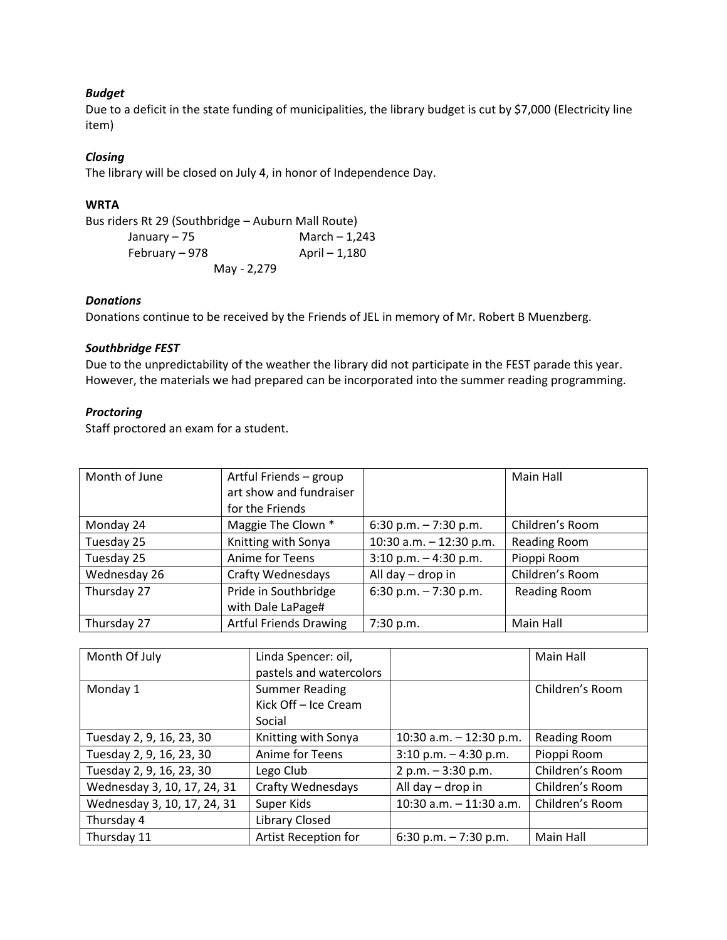# *Budget*

Due to a deficit in the state funding of municipalities, the library budget is cut by \$7,000 (Electricity line item)

# *Closing*

The library will be closed on July 4, in honor of Independence Day.

# **WRTA**

Bus riders Rt 29 (Southbridge – Auburn Mall Route)

| January – 75   | March $-1,243$ |
|----------------|----------------|
| February – 978 | April – 1,180  |
| May - 2,279    |                |

# *Donations*

Donations continue to be received by the Friends of JEL in memory of Mr. Robert B Muenzberg.

# *Southbridge FEST*

Due to the unpredictability of the weather the library did not participate in the FEST parade this year. However, the materials we had prepared can be incorporated into the summer reading programming.

# *Proctoring*

Staff proctored an exam for a student.

| Month of June | Artful Friends - group        |                           | Main Hall           |
|---------------|-------------------------------|---------------------------|---------------------|
|               | art show and fundraiser       |                           |                     |
|               | for the Friends               |                           |                     |
| Monday 24     | Maggie The Clown *            | 6:30 p.m. $-7:30$ p.m.    | Children's Room     |
| Tuesday 25    | Knitting with Sonya           | 10:30 a.m. $-$ 12:30 p.m. | <b>Reading Room</b> |
| Tuesday 25    | Anime for Teens               | $3:10$ p.m. $-4:30$ p.m.  | Pioppi Room         |
| Wednesday 26  | <b>Crafty Wednesdays</b>      | All day - drop in         | Children's Room     |
| Thursday 27   | Pride in Southbridge          | 6:30 p.m. $-7:30$ p.m.    | <b>Reading Room</b> |
|               | with Dale LaPage#             |                           |                     |
| Thursday 27   | <b>Artful Friends Drawing</b> | 7:30 p.m.                 | Main Hall           |

| Month Of July               | Linda Spencer: oil,     |                            | Main Hall           |
|-----------------------------|-------------------------|----------------------------|---------------------|
|                             | pastels and watercolors |                            |                     |
| Monday 1                    | <b>Summer Reading</b>   |                            | Children's Room     |
|                             | Kick Off - Ice Cream    |                            |                     |
|                             | Social                  |                            |                     |
| Tuesday 2, 9, 16, 23, 30    | Knitting with Sonya     | 10:30 a.m. $-$ 12:30 p.m.  | <b>Reading Room</b> |
| Tuesday 2, 9, 16, 23, 30    | Anime for Teens         | $3:10$ p.m. $-4:30$ p.m.   | Pioppi Room         |
| Tuesday 2, 9, 16, 23, 30    | Lego Club               | 2 p.m. $-3:30$ p.m.        | Children's Room     |
| Wednesday 3, 10, 17, 24, 31 | Crafty Wednesdays       | All day - drop in          | Children's Room     |
| Wednesday 3, 10, 17, 24, 31 | Super Kids              | $10:30$ a.m. $-11:30$ a.m. | Children's Room     |
| Thursday 4                  | Library Closed          |                            |                     |
| Thursday 11                 | Artist Reception for    | 6:30 p.m. $-7:30$ p.m.     | Main Hall           |